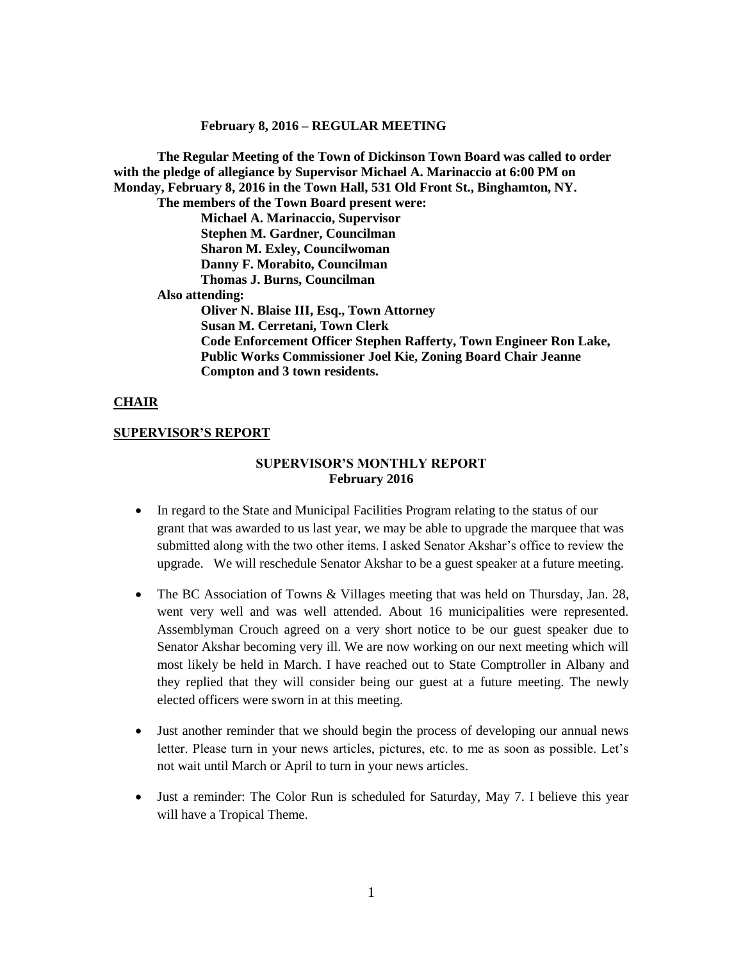**February 8, 2016 – REGULAR MEETING**

**The Regular Meeting of the Town of Dickinson Town Board was called to order with the pledge of allegiance by Supervisor Michael A. Marinaccio at 6:00 PM on Monday, February 8, 2016 in the Town Hall, 531 Old Front St., Binghamton, NY. The members of the Town Board present were: Michael A. Marinaccio, Supervisor Stephen M. Gardner, Councilman Sharon M. Exley, Councilwoman Danny F. Morabito, Councilman Thomas J. Burns, Councilman Also attending: Oliver N. Blaise III, Esq., Town Attorney Susan M. Cerretani, Town Clerk Code Enforcement Officer Stephen Rafferty, Town Engineer Ron Lake, Public Works Commissioner Joel Kie, Zoning Board Chair Jeanne Compton and 3 town residents.**

### **CHAIR**

### **SUPERVISOR'S REPORT**

## **SUPERVISOR'S MONTHLY REPORT February 2016**

- In regard to the State and Municipal Facilities Program relating to the status of our grant that was awarded to us last year, we may be able to upgrade the marquee that was submitted along with the two other items. I asked Senator Akshar's office to review the upgrade. We will reschedule Senator Akshar to be a guest speaker at a future meeting.
- The BC Association of Towns & Villages meeting that was held on Thursday, Jan. 28, went very well and was well attended. About 16 municipalities were represented. Assemblyman Crouch agreed on a very short notice to be our guest speaker due to Senator Akshar becoming very ill. We are now working on our next meeting which will most likely be held in March. I have reached out to State Comptroller in Albany and they replied that they will consider being our guest at a future meeting. The newly elected officers were sworn in at this meeting.
- Just another reminder that we should begin the process of developing our annual news letter. Please turn in your news articles, pictures, etc. to me as soon as possible. Let's not wait until March or April to turn in your news articles.
- Just a reminder: The Color Run is scheduled for Saturday, May 7. I believe this year will have a Tropical Theme.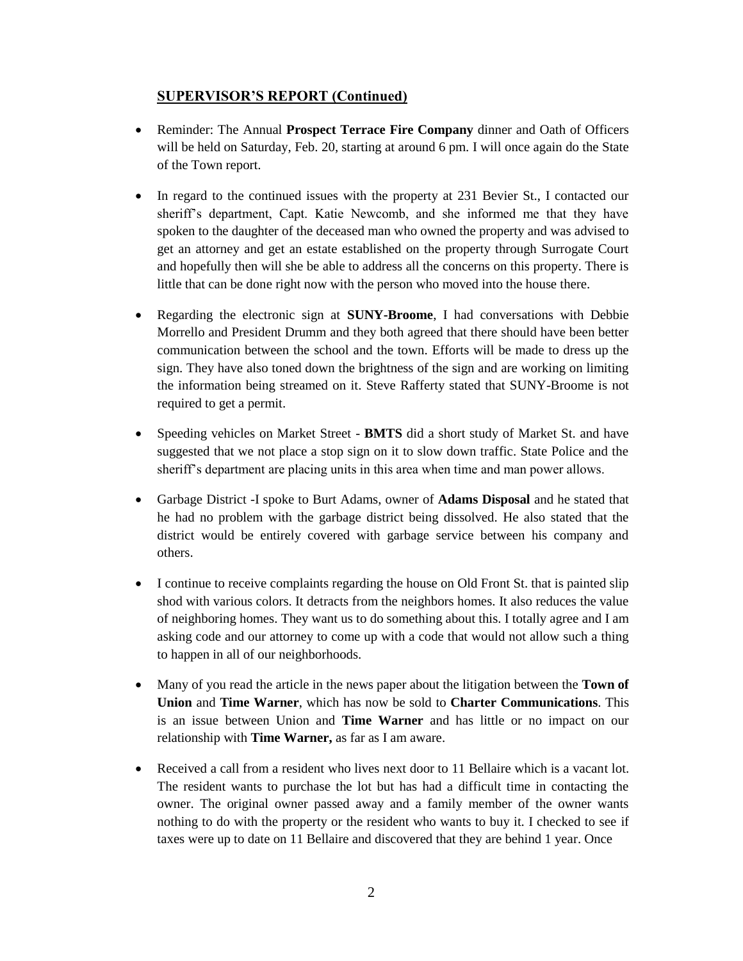# **SUPERVISOR'S REPORT (Continued)**

- Reminder: The Annual **Prospect Terrace Fire Company** dinner and Oath of Officers will be held on Saturday, Feb. 20, starting at around 6 pm. I will once again do the State of the Town report.
- In regard to the continued issues with the property at 231 Bevier St., I contacted our sheriff's department, Capt. Katie Newcomb, and she informed me that they have spoken to the daughter of the deceased man who owned the property and was advised to get an attorney and get an estate established on the property through Surrogate Court and hopefully then will she be able to address all the concerns on this property. There is little that can be done right now with the person who moved into the house there.
- Regarding the electronic sign at **SUNY-Broome**, I had conversations with Debbie Morrello and President Drumm and they both agreed that there should have been better communication between the school and the town. Efforts will be made to dress up the sign. They have also toned down the brightness of the sign and are working on limiting the information being streamed on it. Steve Rafferty stated that SUNY-Broome is not required to get a permit.
- Speeding vehicles on Market Street **BMTS** did a short study of Market St. and have suggested that we not place a stop sign on it to slow down traffic. State Police and the sheriff's department are placing units in this area when time and man power allows.
- Garbage District -I spoke to Burt Adams, owner of **Adams Disposal** and he stated that he had no problem with the garbage district being dissolved. He also stated that the district would be entirely covered with garbage service between his company and others.
- I continue to receive complaints regarding the house on Old Front St. that is painted slip shod with various colors. It detracts from the neighbors homes. It also reduces the value of neighboring homes. They want us to do something about this. I totally agree and I am asking code and our attorney to come up with a code that would not allow such a thing to happen in all of our neighborhoods.
- Many of you read the article in the news paper about the litigation between the **Town of Union** and **Time Warner**, which has now be sold to **Charter Communications**. This is an issue between Union and **Time Warner** and has little or no impact on our relationship with **Time Warner,** as far as I am aware.
- Received a call from a resident who lives next door to 11 Bellaire which is a vacant lot. The resident wants to purchase the lot but has had a difficult time in contacting the owner. The original owner passed away and a family member of the owner wants nothing to do with the property or the resident who wants to buy it. I checked to see if taxes were up to date on 11 Bellaire and discovered that they are behind 1 year. Once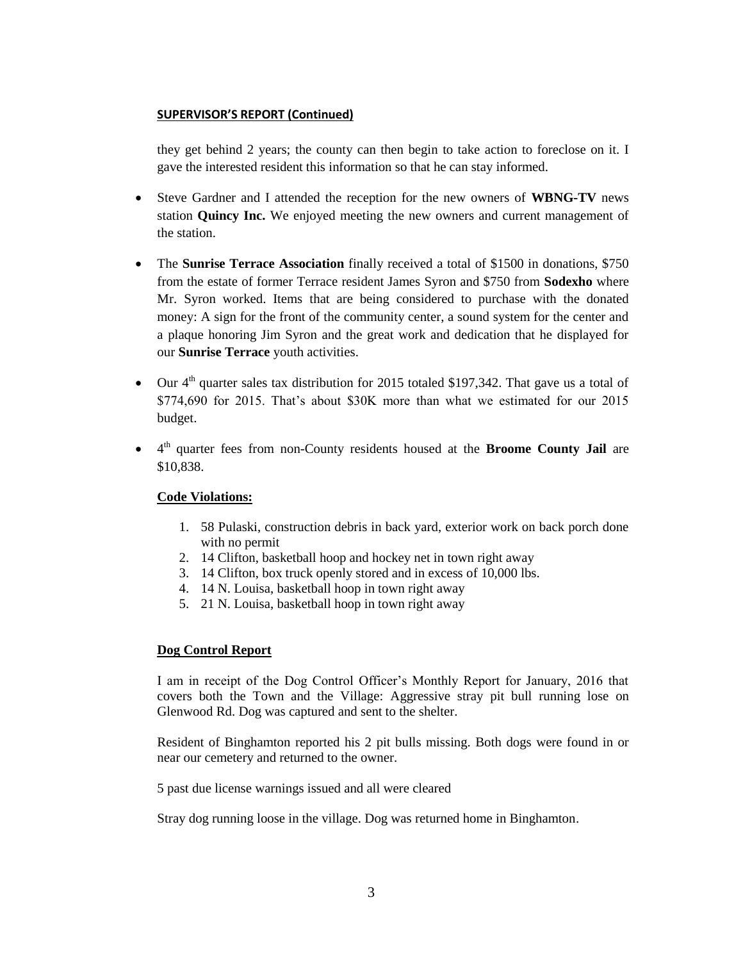## **SUPERVISOR'S REPORT (Continued)**

they get behind 2 years; the county can then begin to take action to foreclose on it. I gave the interested resident this information so that he can stay informed.

- Steve Gardner and I attended the reception for the new owners of **WBNG-TV** news station **Quincy Inc.** We enjoyed meeting the new owners and current management of the station.
- The **Sunrise Terrace Association** finally received a total of \$1500 in donations, \$750 from the estate of former Terrace resident James Syron and \$750 from **Sodexho** where Mr. Syron worked. Items that are being considered to purchase with the donated money: A sign for the front of the community center, a sound system for the center and a plaque honoring Jim Syron and the great work and dedication that he displayed for our **Sunrise Terrace** youth activities.
- $\bullet$  Our 4<sup>th</sup> quarter sales tax distribution for 2015 totaled \$197,342. That gave us a total of \$774,690 for 2015. That's about \$30K more than what we estimated for our 2015 budget.
- 4 th quarter fees from non-County residents housed at the **Broome County Jail** are \$10,838.

# **Code Violations:**

- 1. 58 Pulaski, construction debris in back yard, exterior work on back porch done with no permit
- 2. 14 Clifton, basketball hoop and hockey net in town right away
- 3. 14 Clifton, box truck openly stored and in excess of 10,000 lbs.
- 4. 14 N. Louisa, basketball hoop in town right away
- 5. 21 N. Louisa, basketball hoop in town right away

# **Dog Control Report**

I am in receipt of the Dog Control Officer's Monthly Report for January, 2016 that covers both the Town and the Village: Aggressive stray pit bull running lose on Glenwood Rd. Dog was captured and sent to the shelter.

Resident of Binghamton reported his 2 pit bulls missing. Both dogs were found in or near our cemetery and returned to the owner.

5 past due license warnings issued and all were cleared

Stray dog running loose in the village. Dog was returned home in Binghamton.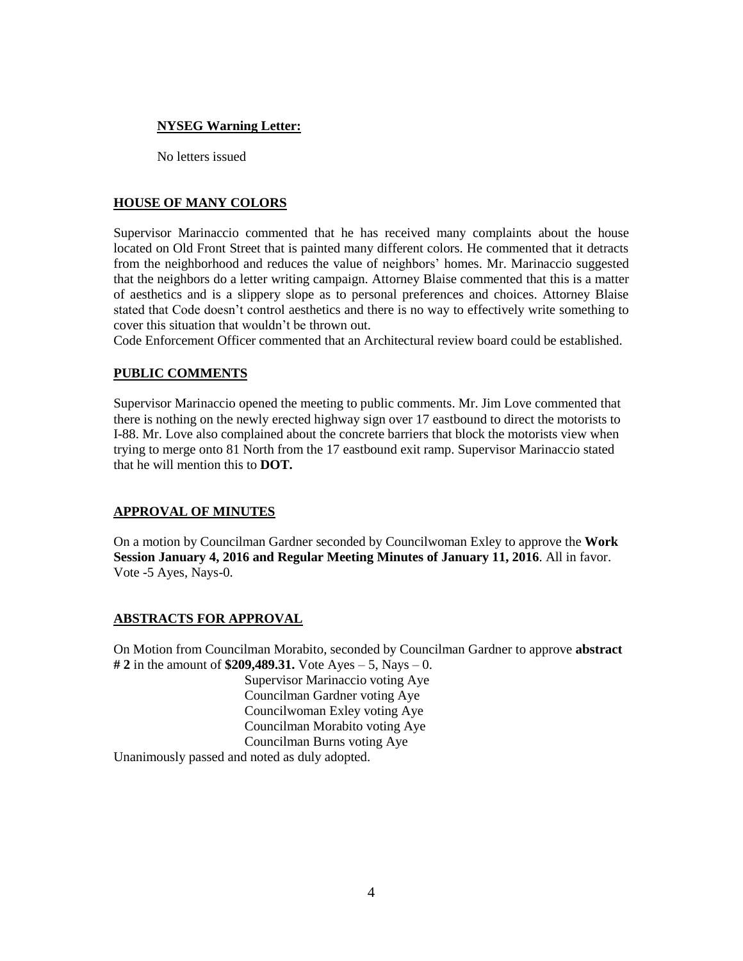## **NYSEG Warning Letter:**

No letters issued

# **HOUSE OF MANY COLORS**

Supervisor Marinaccio commented that he has received many complaints about the house located on Old Front Street that is painted many different colors. He commented that it detracts from the neighborhood and reduces the value of neighbors' homes. Mr. Marinaccio suggested that the neighbors do a letter writing campaign. Attorney Blaise commented that this is a matter of aesthetics and is a slippery slope as to personal preferences and choices. Attorney Blaise stated that Code doesn't control aesthetics and there is no way to effectively write something to cover this situation that wouldn't be thrown out.

Code Enforcement Officer commented that an Architectural review board could be established.

# **PUBLIC COMMENTS**

Supervisor Marinaccio opened the meeting to public comments. Mr. Jim Love commented that there is nothing on the newly erected highway sign over 17 eastbound to direct the motorists to I-88. Mr. Love also complained about the concrete barriers that block the motorists view when trying to merge onto 81 North from the 17 eastbound exit ramp. Supervisor Marinaccio stated that he will mention this to **DOT.**

## **APPROVAL OF MINUTES**

On a motion by Councilman Gardner seconded by Councilwoman Exley to approve the **Work Session January 4, 2016 and Regular Meeting Minutes of January 11, 2016**. All in favor. Vote -5 Ayes, Nays-0.

## **ABSTRACTS FOR APPROVAL**

On Motion from Councilman Morabito, seconded by Councilman Gardner to approve **abstract # 2** in the amount of **\$209,489.31.** Vote Ayes – 5, Nays – 0.

Supervisor Marinaccio voting Aye Councilman Gardner voting Aye Councilwoman Exley voting Aye Councilman Morabito voting Aye Councilman Burns voting Aye

Unanimously passed and noted as duly adopted.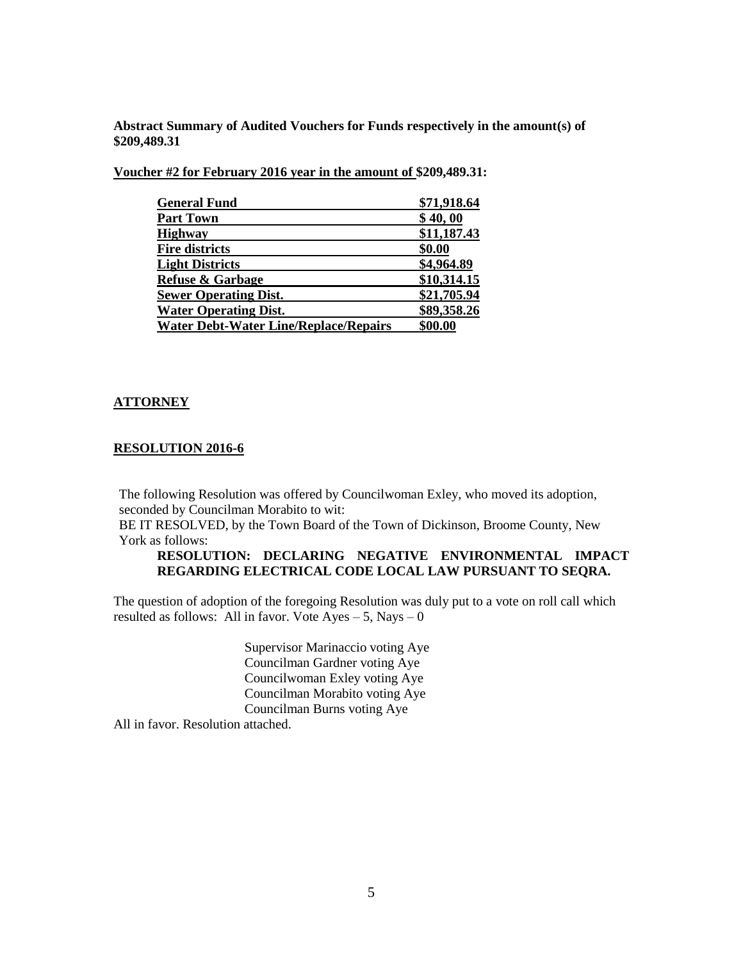**Abstract Summary of Audited Vouchers for Funds respectively in the amount(s) of \$209,489.31**

**Voucher #2 for February 2016 year in the amount of \$209,489.31:**

| <b>General Fund</b>                          | \$71,918.64 |
|----------------------------------------------|-------------|
| <b>Part Town</b>                             | \$40,00     |
| <b>Highway</b>                               | \$11,187.43 |
| <b>Fire districts</b>                        | \$0.00      |
| <b>Light Districts</b>                       | \$4,964.89  |
| <b>Refuse &amp; Garbage</b>                  | \$10,314.15 |
| <b>Sewer Operating Dist.</b>                 | \$21,705.94 |
| <b>Water Operating Dist.</b>                 | \$89,358.26 |
| <b>Water Debt-Water Line/Replace/Repairs</b> | \$00.00     |

### **ATTORNEY**

### **RESOLUTION 2016-6**

The following Resolution was offered by Councilwoman Exley, who moved its adoption, seconded by Councilman Morabito to wit:

BE IT RESOLVED, by the Town Board of the Town of Dickinson, Broome County, New York as follows:

## **RESOLUTION: DECLARING NEGATIVE ENVIRONMENTAL IMPACT REGARDING ELECTRICAL CODE LOCAL LAW PURSUANT TO SEQRA.**

The question of adoption of the foregoing Resolution was duly put to a vote on roll call which resulted as follows: All in favor. Vote  $Ayes - 5$ , Nays  $-0$ 

> Supervisor Marinaccio voting Aye Councilman Gardner voting Aye Councilwoman Exley voting Aye Councilman Morabito voting Aye Councilman Burns voting Aye

All in favor. Resolution attached.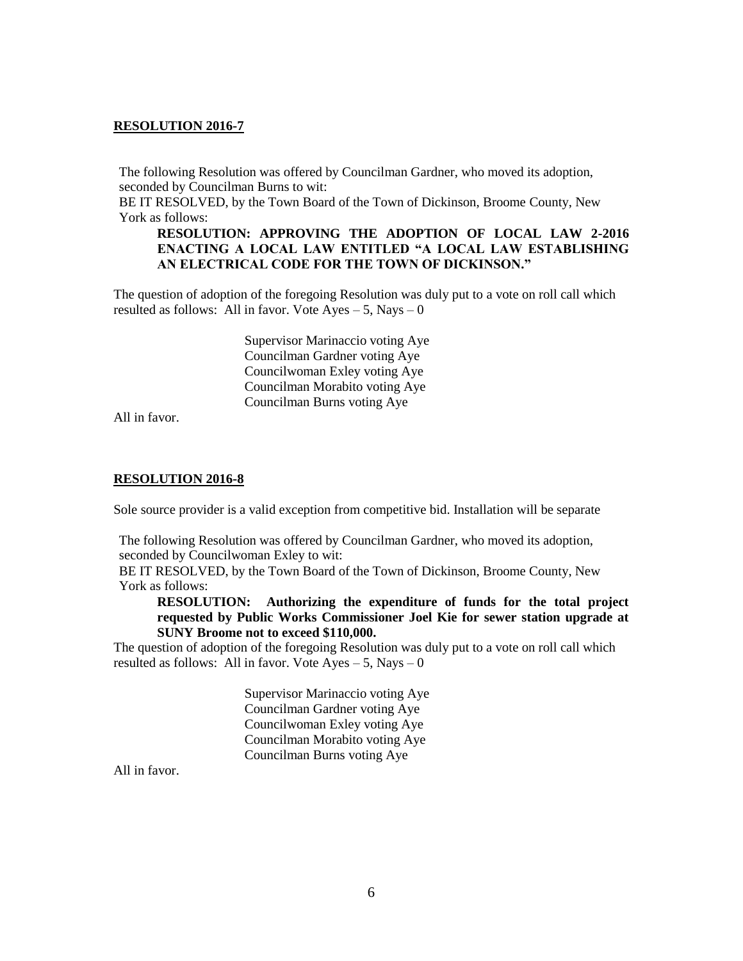The following Resolution was offered by Councilman Gardner, who moved its adoption, seconded by Councilman Burns to wit:

BE IT RESOLVED, by the Town Board of the Town of Dickinson, Broome County, New York as follows:

## **RESOLUTION: APPROVING THE ADOPTION OF LOCAL LAW 2-2016 ENACTING A LOCAL LAW ENTITLED "A LOCAL LAW ESTABLISHING AN ELECTRICAL CODE FOR THE TOWN OF DICKINSON."**

The question of adoption of the foregoing Resolution was duly put to a vote on roll call which resulted as follows: All in favor. Vote  $Ayes - 5$ , Nays  $-0$ 

> Supervisor Marinaccio voting Aye Councilman Gardner voting Aye Councilwoman Exley voting Aye Councilman Morabito voting Aye Councilman Burns voting Aye

All in favor.

### **RESOLUTION 2016-8**

Sole source provider is a valid exception from competitive bid. Installation will be separate

The following Resolution was offered by Councilman Gardner, who moved its adoption, seconded by Councilwoman Exley to wit:

BE IT RESOLVED, by the Town Board of the Town of Dickinson, Broome County, New York as follows:

**RESOLUTION: Authorizing the expenditure of funds for the total project requested by Public Works Commissioner Joel Kie for sewer station upgrade at SUNY Broome not to exceed \$110,000.**

The question of adoption of the foregoing Resolution was duly put to a vote on roll call which resulted as follows: All in favor. Vote  $Ayes - 5$ , Nays  $-0$ 

> Supervisor Marinaccio voting Aye Councilman Gardner voting Aye Councilwoman Exley voting Aye Councilman Morabito voting Aye Councilman Burns voting Aye

All in favor.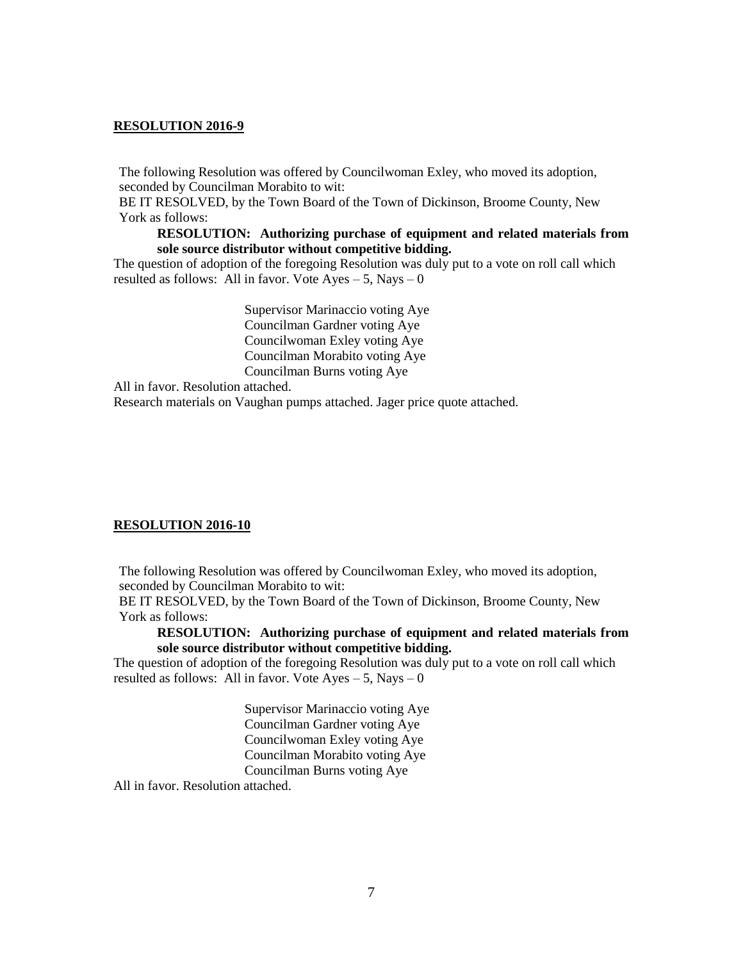The following Resolution was offered by Councilwoman Exley, who moved its adoption, seconded by Councilman Morabito to wit:

BE IT RESOLVED, by the Town Board of the Town of Dickinson, Broome County, New York as follows:

### **RESOLUTION: Authorizing purchase of equipment and related materials from sole source distributor without competitive bidding.**

The question of adoption of the foregoing Resolution was duly put to a vote on roll call which resulted as follows: All in favor. Vote  $Ayes - 5$ , Nays  $-0$ 

> Supervisor Marinaccio voting Aye Councilman Gardner voting Aye Councilwoman Exley voting Aye Councilman Morabito voting Aye Councilman Burns voting Aye

All in favor. Resolution attached.

Research materials on Vaughan pumps attached. Jager price quote attached.

#### **RESOLUTION 2016-10**

The following Resolution was offered by Councilwoman Exley, who moved its adoption, seconded by Councilman Morabito to wit:

BE IT RESOLVED, by the Town Board of the Town of Dickinson, Broome County, New York as follows:

**RESOLUTION: Authorizing purchase of equipment and related materials from sole source distributor without competitive bidding.**

The question of adoption of the foregoing Resolution was duly put to a vote on roll call which resulted as follows: All in favor. Vote  $Ayes - 5$ , Nays – 0

> Supervisor Marinaccio voting Aye Councilman Gardner voting Aye Councilwoman Exley voting Aye Councilman Morabito voting Aye Councilman Burns voting Aye

All in favor. Resolution attached.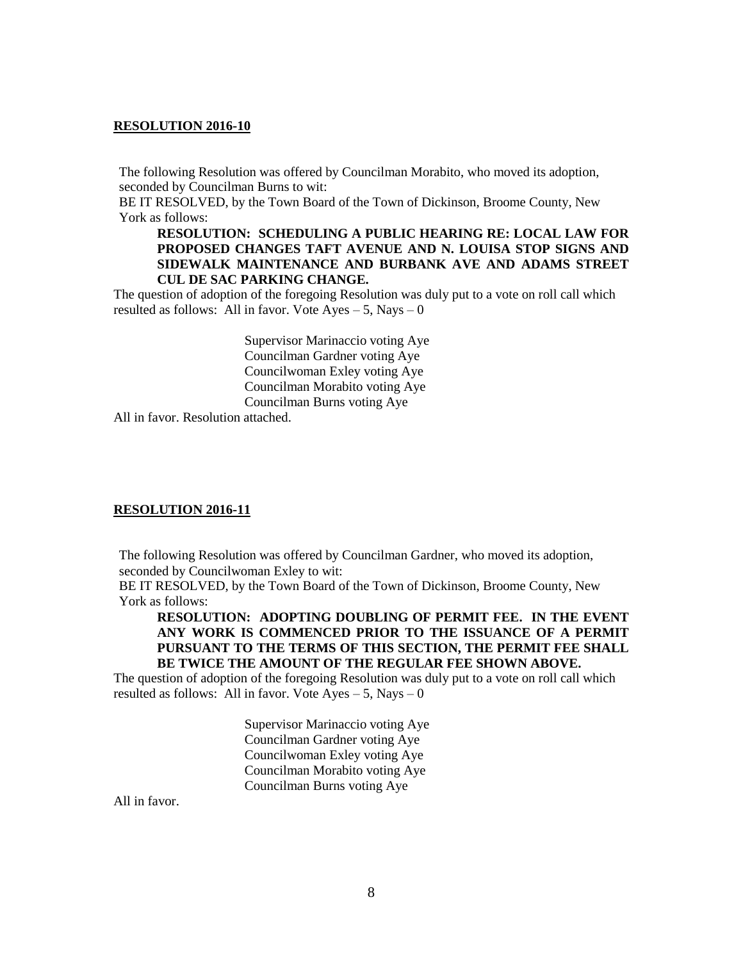The following Resolution was offered by Councilman Morabito, who moved its adoption, seconded by Councilman Burns to wit:

BE IT RESOLVED, by the Town Board of the Town of Dickinson, Broome County, New York as follows:

## **RESOLUTION: SCHEDULING A PUBLIC HEARING RE: LOCAL LAW FOR PROPOSED CHANGES TAFT AVENUE AND N. LOUISA STOP SIGNS AND SIDEWALK MAINTENANCE AND BURBANK AVE AND ADAMS STREET CUL DE SAC PARKING CHANGE.**

The question of adoption of the foregoing Resolution was duly put to a vote on roll call which resulted as follows: All in favor. Vote  $Ayes - 5$ , Nays  $-0$ 

> Supervisor Marinaccio voting Aye Councilman Gardner voting Aye Councilwoman Exley voting Aye Councilman Morabito voting Aye Councilman Burns voting Aye

All in favor. Resolution attached.

### **RESOLUTION 2016-11**

The following Resolution was offered by Councilman Gardner, who moved its adoption, seconded by Councilwoman Exley to wit:

BE IT RESOLVED, by the Town Board of the Town of Dickinson, Broome County, New York as follows:

**RESOLUTION: ADOPTING DOUBLING OF PERMIT FEE. IN THE EVENT ANY WORK IS COMMENCED PRIOR TO THE ISSUANCE OF A PERMIT PURSUANT TO THE TERMS OF THIS SECTION, THE PERMIT FEE SHALL BE TWICE THE AMOUNT OF THE REGULAR FEE SHOWN ABOVE.**

The question of adoption of the foregoing Resolution was duly put to a vote on roll call which resulted as follows: All in favor. Vote  $Ayes - 5$ , Nays  $-0$ 

> Supervisor Marinaccio voting Aye Councilman Gardner voting Aye Councilwoman Exley voting Aye Councilman Morabito voting Aye Councilman Burns voting Aye

All in favor.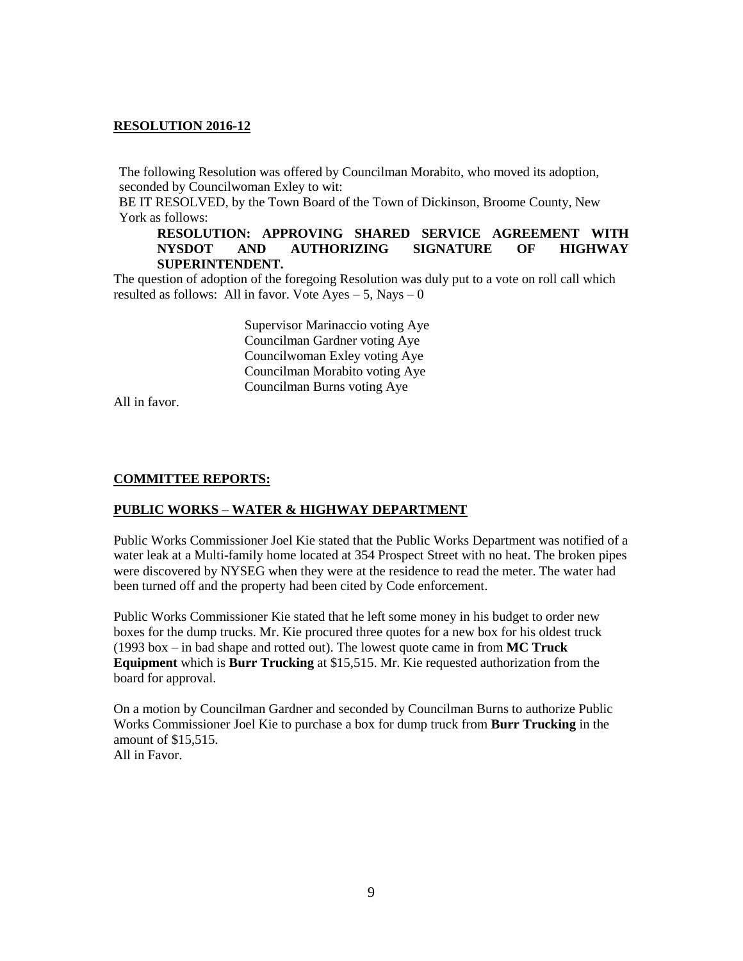The following Resolution was offered by Councilman Morabito, who moved its adoption, seconded by Councilwoman Exley to wit:

BE IT RESOLVED, by the Town Board of the Town of Dickinson, Broome County, New York as follows:

## **RESOLUTION: APPROVING SHARED SERVICE AGREEMENT WITH NYSDOT AND AUTHORIZING SIGNATURE OF HIGHWAY SUPERINTENDENT.**

The question of adoption of the foregoing Resolution was duly put to a vote on roll call which resulted as follows: All in favor. Vote  $Ayes - 5$ , Nays  $-0$ 

> Supervisor Marinaccio voting Aye Councilman Gardner voting Aye Councilwoman Exley voting Aye Councilman Morabito voting Aye Councilman Burns voting Aye

All in favor.

### **COMMITTEE REPORTS:**

### **PUBLIC WORKS – WATER & HIGHWAY DEPARTMENT**

Public Works Commissioner Joel Kie stated that the Public Works Department was notified of a water leak at a Multi-family home located at 354 Prospect Street with no heat. The broken pipes were discovered by NYSEG when they were at the residence to read the meter. The water had been turned off and the property had been cited by Code enforcement.

Public Works Commissioner Kie stated that he left some money in his budget to order new boxes for the dump trucks. Mr. Kie procured three quotes for a new box for his oldest truck (1993 box – in bad shape and rotted out). The lowest quote came in from **MC Truck Equipment** which is **Burr Trucking** at \$15,515. Mr. Kie requested authorization from the board for approval.

On a motion by Councilman Gardner and seconded by Councilman Burns to authorize Public Works Commissioner Joel Kie to purchase a box for dump truck from **Burr Trucking** in the amount of \$15,515. All in Favor.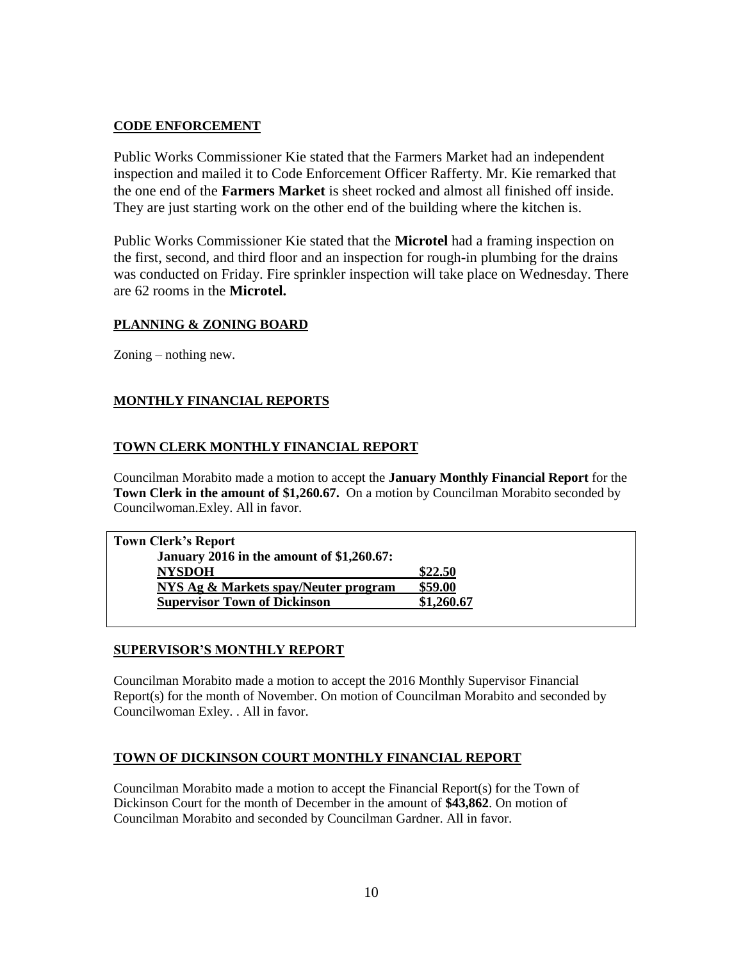# **CODE ENFORCEMENT**

Public Works Commissioner Kie stated that the Farmers Market had an independent inspection and mailed it to Code Enforcement Officer Rafferty. Mr. Kie remarked that the one end of the **Farmers Market** is sheet rocked and almost all finished off inside. They are just starting work on the other end of the building where the kitchen is.

Public Works Commissioner Kie stated that the **Microtel** had a framing inspection on the first, second, and third floor and an inspection for rough-in plumbing for the drains was conducted on Friday. Fire sprinkler inspection will take place on Wednesday. There are 62 rooms in the **Microtel.**

# **PLANNING & ZONING BOARD**

Zoning – nothing new.

# **MONTHLY FINANCIAL REPORTS**

# **TOWN CLERK MONTHLY FINANCIAL REPORT**

Councilman Morabito made a motion to accept the **January Monthly Financial Report** for the **Town Clerk in the amount of \$1,260.67.** On a motion by Councilman Morabito seconded by Councilwoman.Exley. All in favor.

| <b>Town Clerk's Report</b>                       |            |
|--------------------------------------------------|------------|
| <b>January 2016 in the amount of \$1,260.67:</b> |            |
| <b>NYSDOH</b>                                    | \$22.50    |
| NYS Ag & Markets spay/Neuter program             | \$59.00    |
| <b>Supervisor Town of Dickinson</b>              | \$1,260.67 |
|                                                  |            |

## **SUPERVISOR'S MONTHLY REPORT**

Councilman Morabito made a motion to accept the 2016 Monthly Supervisor Financial Report(s) for the month of November. On motion of Councilman Morabito and seconded by Councilwoman Exley. . All in favor.

# **TOWN OF DICKINSON COURT MONTHLY FINANCIAL REPORT**

Councilman Morabito made a motion to accept the Financial Report(s) for the Town of Dickinson Court for the month of December in the amount of **\$43,862**. On motion of Councilman Morabito and seconded by Councilman Gardner. All in favor.